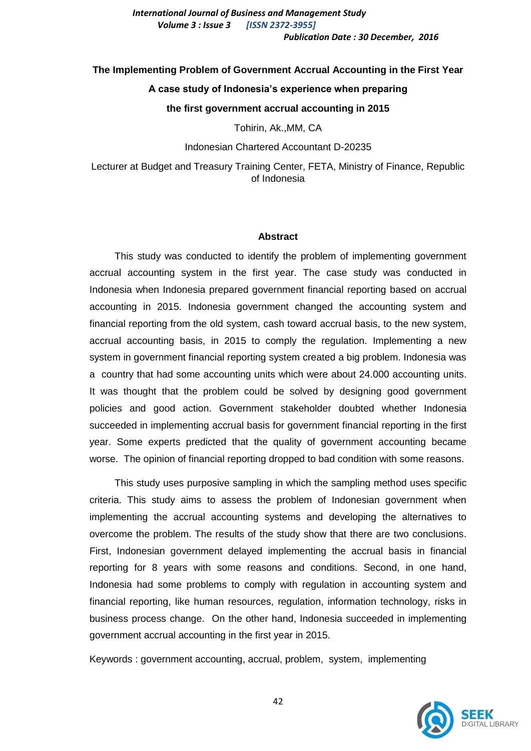# **The Implementing Problem of Government Accrual Accounting in the First Year A case study of Indonesia's experience when preparing**

## **the first government accrual accounting in 2015**

Tohirin, Ak.,MM, CA

Indonesian Chartered Accountant D-20235

Lecturer at Budget and Treasury Training Center, FETA, Ministry of Finance, Republic of Indonesia

## **Abstract**

This study was conducted to identify the problem of implementing government accrual accounting system in the first year. The case study was conducted in Indonesia when Indonesia prepared government financial reporting based on accrual accounting in 2015. Indonesia government changed the accounting system and financial reporting from the old system, cash toward accrual basis, to the new system, accrual accounting basis, in 2015 to comply the regulation. Implementing a new system in government financial reporting system created a big problem. Indonesia was a country that had some accounting units which were about 24.000 accounting units. It was thought that the problem could be solved by designing good government policies and good action. Government stakeholder doubted whether Indonesia succeeded in implementing accrual basis for government financial reporting in the first year. Some experts predicted that the quality of government accounting became worse. The opinion of financial reporting dropped to bad condition with some reasons.

This study uses purposive sampling in which the sampling method uses specific criteria. This study aims to assess the problem of Indonesian government when implementing the accrual accounting systems and developing the alternatives to overcome the problem. The results of the study show that there are two conclusions. First, Indonesian government delayed implementing the accrual basis in financial reporting for 8 years with some reasons and conditions. Second, in one hand, Indonesia had some problems to comply with regulation in accounting system and financial reporting, like human resources, regulation, information technology, risks in business process change. On the other hand, Indonesia succeeded in implementing government accrual accounting in the first year in 2015.

Keywords : government accounting, accrual, problem, system, implementing

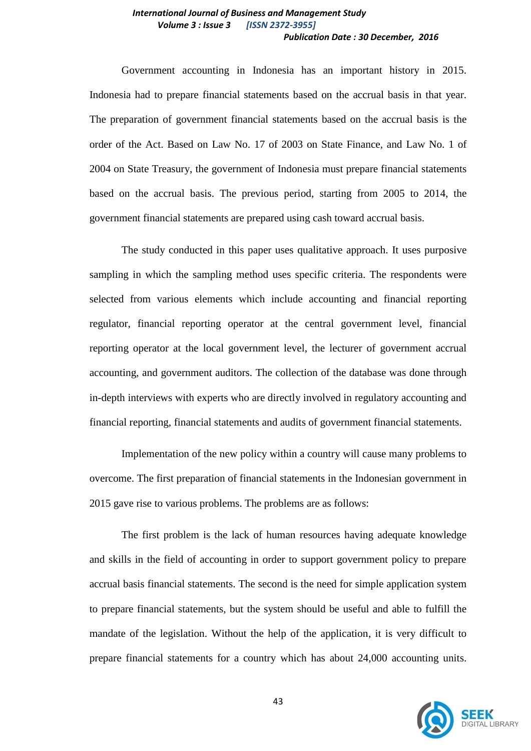Government accounting in Indonesia has an important history in 2015. Indonesia had to prepare financial statements based on the accrual basis in that year. The preparation of government financial statements based on the accrual basis is the order of the Act. Based on Law No. 17 of 2003 on State Finance, and Law No. 1 of 2004 on State Treasury, the government of Indonesia must prepare financial statements based on the accrual basis. The previous period, starting from 2005 to 2014, the government financial statements are prepared using cash toward accrual basis.

The study conducted in this paper uses qualitative approach. It uses purposive sampling in which the sampling method uses specific criteria. The respondents were selected from various elements which include accounting and financial reporting regulator, financial reporting operator at the central government level, financial reporting operator at the local government level, the lecturer of government accrual accounting, and government auditors. The collection of the database was done through in-depth interviews with experts who are directly involved in regulatory accounting and financial reporting, financial statements and audits of government financial statements.

Implementation of the new policy within a country will cause many problems to overcome. The first preparation of financial statements in the Indonesian government in 2015 gave rise to various problems. The problems are as follows:

The first problem is the lack of human resources having adequate knowledge and skills in the field of accounting in order to support government policy to prepare accrual basis financial statements. The second is the need for simple application system to prepare financial statements, but the system should be useful and able to fulfill the mandate of the legislation. Without the help of the application, it is very difficult to prepare financial statements for a country which has about 24,000 accounting units.

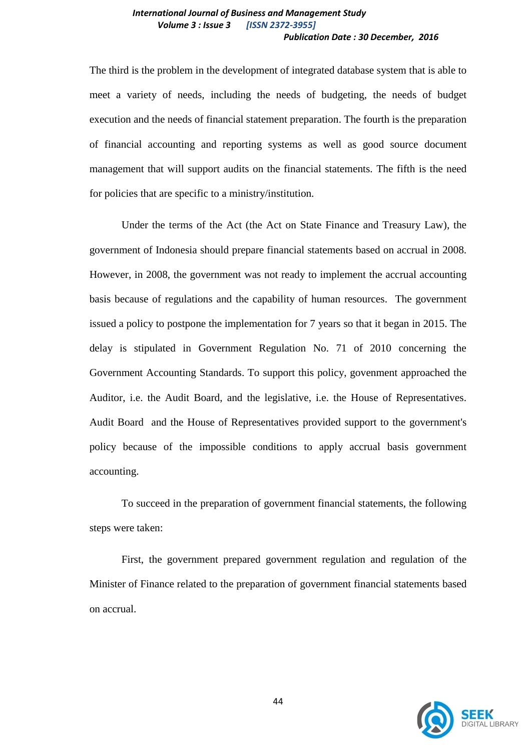The third is the problem in the development of integrated database system that is able to meet a variety of needs, including the needs of budgeting, the needs of budget execution and the needs of financial statement preparation. The fourth is the preparation of financial accounting and reporting systems as well as good source document management that will support audits on the financial statements. The fifth is the need for policies that are specific to a ministry/institution.

Under the terms of the Act (the Act on State Finance and Treasury Law), the government of Indonesia should prepare financial statements based on accrual in 2008. However, in 2008, the government was not ready to implement the accrual accounting basis because of regulations and the capability of human resources. The government issued a policy to postpone the implementation for 7 years so that it began in 2015. The delay is stipulated in Government Regulation No. 71 of 2010 concerning the Government Accounting Standards. To support this policy, govenment approached the Auditor, i.e. the Audit Board, and the legislative, i.e. the House of Representatives. Audit Board and the House of Representatives provided support to the government's policy because of the impossible conditions to apply accrual basis government accounting.

To succeed in the preparation of government financial statements, the following steps were taken:

First, the government prepared government regulation and regulation of the Minister of Finance related to the preparation of government financial statements based on accrual.

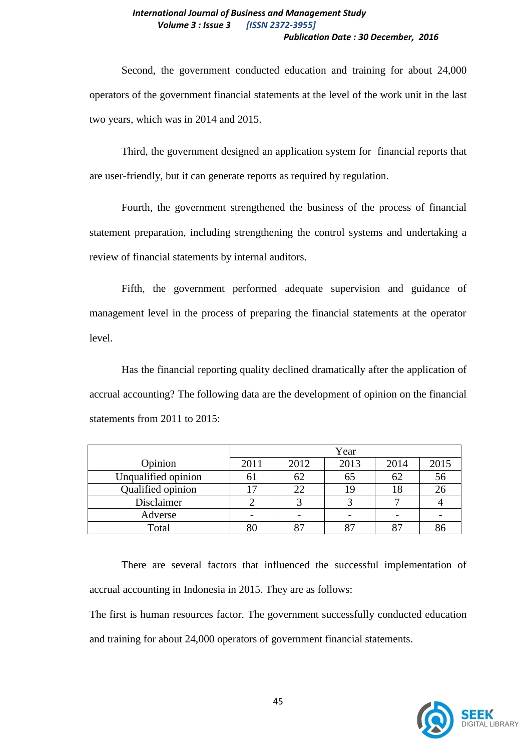Second, the government conducted education and training for about 24,000 operators of the government financial statements at the level of the work unit in the last two years, which was in 2014 and 2015.

Third, the government designed an application system for financial reports that are user-friendly, but it can generate reports as required by regulation.

Fourth, the government strengthened the business of the process of financial statement preparation, including strengthening the control systems and undertaking a review of financial statements by internal auditors.

Fifth, the government performed adequate supervision and guidance of management level in the process of preparing the financial statements at the operator level.

Has the financial reporting quality declined dramatically after the application of accrual accounting? The following data are the development of opinion on the financial statements from 2011 to 2015:

|                     | Year |      |      |      |      |
|---------------------|------|------|------|------|------|
| Opinion             | 2011 | 2012 | 2013 | 2014 | 2015 |
| Unqualified opinion |      | 62   | 65   | 62   | 56   |
| Qualified opinion   |      | 22   | 19   | 18   | 26   |
| Disclaimer          |      |      |      |      |      |
| Adverse             |      |      |      |      |      |
| Total               |      |      |      |      | oι   |

There are several factors that influenced the successful implementation of accrual accounting in Indonesia in 2015. They are as follows:

The first is human resources factor. The government successfully conducted education and training for about 24,000 operators of government financial statements.